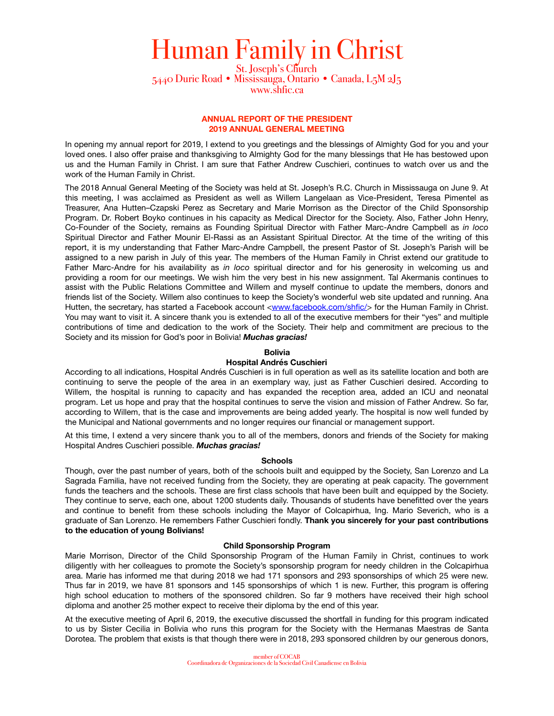# Human Family in Christ<br>
5440 Durie Road • Mississauga, Ontario • Canada, L5M 2J5

[www.shfic.ca](http://www.shfic.ca)

# **ANNUAL REPORT OF THE PRESIDENT 2019 ANNUAL GENERAL MEETING**

In opening my annual report for 2019, I extend to you greetings and the blessings of Almighty God for you and your loved ones. I also offer praise and thanksgiving to Almighty God for the many blessings that He has bestowed upon us and the Human Family in Christ. I am sure that Father Andrew Cuschieri, continues to watch over us and the work of the Human Family in Christ.

The 2018 Annual General Meeting of the Society was held at St. Joseph's R.C. Church in Mississauga on June 9. At this meeting, I was acclaimed as President as well as Willem Langelaan as Vice-President, Teresa Pimentel as Treasurer, Ana Hutten–Czapski Perez as Secretary and Marie Morrison as the Director of the Child Sponsorship Program. Dr. Robert Boyko continues in his capacity as Medical Director for the Society. Also, Father John Henry, Co-Founder of the Society, remains as Founding Spiritual Director with Father Marc-Andre Campbell as *in loco* Spiritual Director and Father Mounir El-Rassi as an Assistant Spiritual Director. At the time of the writing of this report, it is my understanding that Father Marc-Andre Campbell, the present Pastor of St. Joseph's Parish will be assigned to a new parish in July of this year. The members of the Human Family in Christ extend our gratitude to Father Marc-Andre for his availability as *in loco* spiritual director and for his generosity in welcoming us and providing a room for our meetings. We wish him the very best in his new assignment. Tal Akermanis continues to assist with the Public Relations Committee and Willem and myself continue to update the members, donors and friends list of the Society. Willem also continues to keep the Society's wonderful web site updated and running. Ana Hutten, the secretary, has started a Facebook account <[www.facebook.com/shfic/>](http://www.facebook.com/shfic/) for the Human Family in Christ. You may want to visit it. A sincere thank you is extended to all of the executive members for their "yes" and multiple contributions of time and dedication to the work of the Society. Their help and commitment are precious to the Society and its mission for God's poor in Bolivia! *Muchas gracias!*

# **Bolivia**

# **Hospital Andrés Cuschieri**

According to all indications, Hospital Andrés Cuschieri is in full operation as well as its satellite location and both are continuing to serve the people of the area in an exemplary way, just as Father Cuschieri desired. According to Willem, the hospital is running to capacity and has expanded the reception area, added an ICU and neonatal program. Let us hope and pray that the hospital continues to serve the vision and mission of Father Andrew. So far, according to Willem, that is the case and improvements are being added yearly. The hospital is now well funded by the Municipal and National governments and no longer requires our financial or management support.

At this time, I extend a very sincere thank you to all of the members, donors and friends of the Society for making Hospital Andres Cuschieri possible. *Muchas gracias!*

### **Schools**

Though, over the past number of years, both of the schools built and equipped by the Society, San Lorenzo and La Sagrada Familia, have not received funding from the Society, they are operating at peak capacity. The government funds the teachers and the schools. These are first class schools that have been built and equipped by the Society. They continue to serve, each one, about 1200 students daily. Thousands of students have benefitted over the years and continue to benefit from these schools including the Mayor of Colcapirhua, Ing. Mario Severich, who is a graduate of San Lorenzo. He remembers Father Cuschieri fondly. **Thank you sincerely for your past contributions to the education of young Bolivians!**

### **Child Sponsorship Program**

Marie Morrison, Director of the Child Sponsorship Program of the Human Family in Christ, continues to work diligently with her colleagues to promote the Society's sponsorship program for needy children in the Colcapirhua area. Marie has informed me that during 2018 we had 171 sponsors and 293 sponsorships of which 25 were new. Thus far in 2019, we have 81 sponsors and 145 sponsorships of which 1 is new. Further, this program is offering high school education to mothers of the sponsored children. So far 9 mothers have received their high school diploma and another 25 mother expect to receive their diploma by the end of this year.

At the executive meeting of April 6, 2019, the executive discussed the shortfall in funding for this program indicated to us by Sister Cecilia in Bolivia who runs this program for the Society with the Hermanas Maestras de Santa Dorotea. The problem that exists is that though there were in 2018, 293 sponsored children by our generous donors,